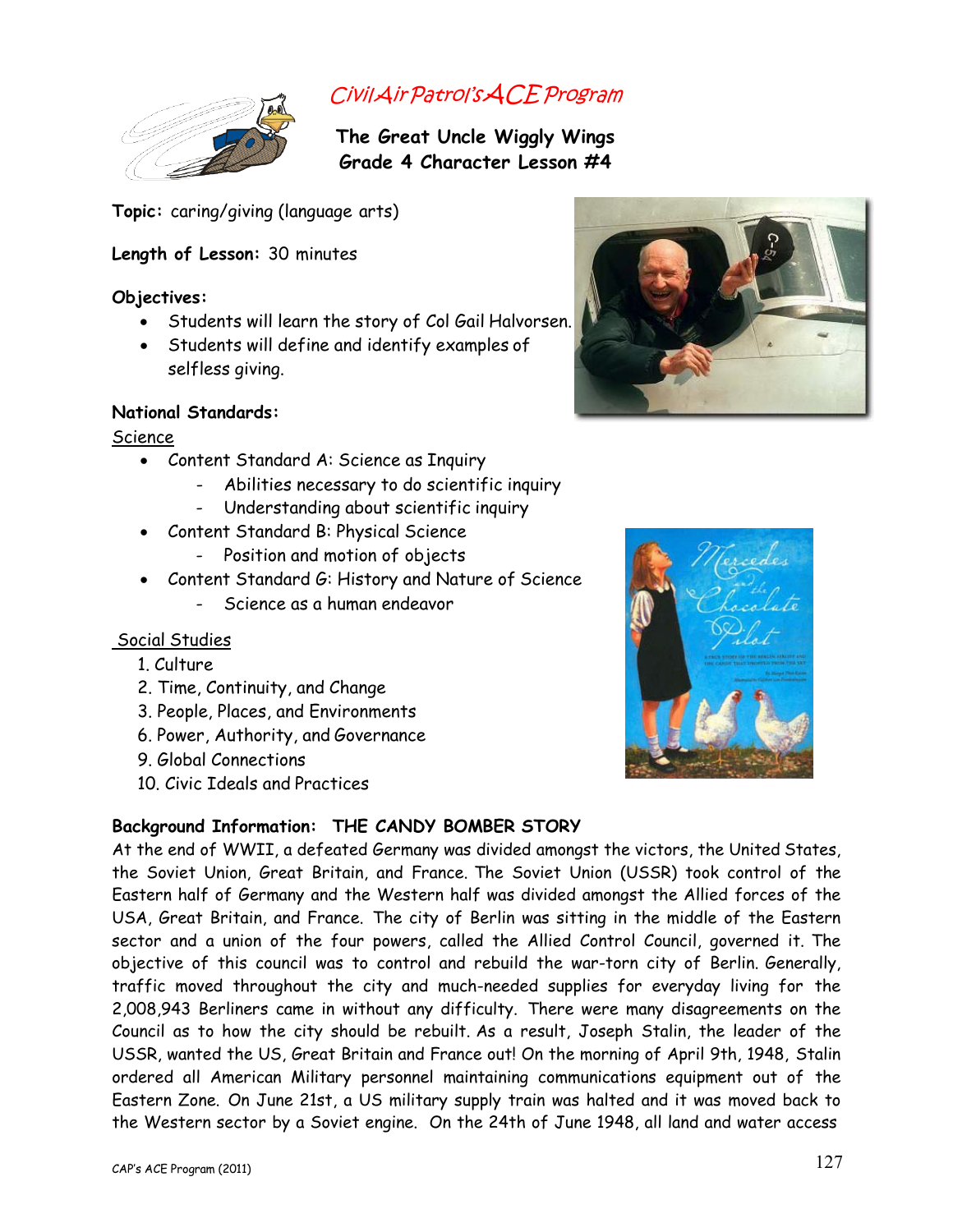

# CivilAirPatrol'sACEProgram

**The Great Uncle Wiggly Wings Grade 4 Character Lesson #4**

**Topic:** caring/giving (language arts)

# **Length of Lesson:** 30 minutes

## **Objectives:**

- Students will learn the story of Col Gail Halvorsen.
- Students will define and identify examples of selfless giving.

## **National Standards:**

Science

- Content Standard A: Science as Inquiry
	- Abilities necessary to do scientific inquiry
	- Understanding about scientific inquiry
- Content Standard B: Physical Science
	- Position and motion of objects
- Content Standard G: History and Nature of Science
	- Science as a human endeavor

## Social Studies

- 1. Culture
- 2. Time, Continuity, and Change
- 3. People, Places, and Environments
- 6. Power, Authority, and Governance
- 9. Global Connections
- 10. Civic Ideals and Practices

# **Background Information: THE CANDY BOMBER STORY**

At the end of WWII, a defeated Germany was divided amongst the victors, the United States, the Soviet Union, Great Britain, and France. The Soviet Union (USSR) took control of the Eastern half of Germany and the Western half was divided amongst the Allied forces of the USA, Great Britain, and France. The city of Berlin was sitting in the middle of the Eastern sector and a union of the four powers, called the Allied Control Council, governed it. The objective of this council was to control and rebuild the war-torn city of Berlin. Generally, traffic moved throughout the city and much-needed supplies for everyday living for the 2,008,943 Berliners came in without any difficulty. There were many disagreements on the Council as to how the city should be rebuilt. As a result, Joseph Stalin, the leader of the USSR, wanted the US, Great Britain and France out! On the morning of April 9th, 1948, Stalin ordered all American Military personnel maintaining communications equipment out of the Eastern Zone. On June 21st, a US military supply train was halted and it was moved back to the Western sector by a Soviet engine. On the 24th of June 1948, all land and water access



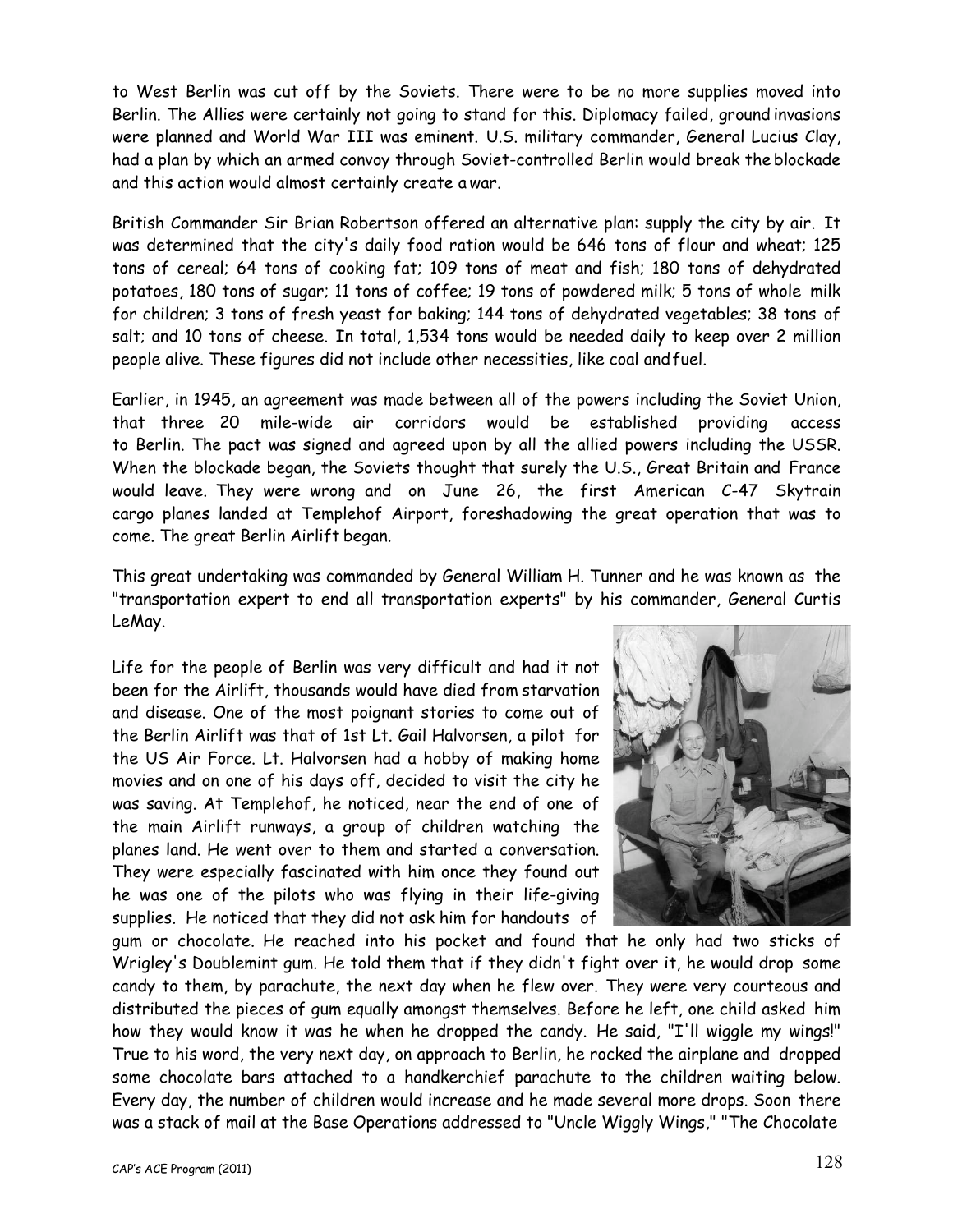to West Berlin was cut off by the Soviets. There were to be no more supplies moved into Berlin. The Allies were certainly not going to stand for this. Diplomacy failed, ground invasions were planned and World War III was eminent. U.S. military commander, General Lucius Clay, had a plan by which an armed convoy through Soviet-controlled Berlin would break the blockade and this action would almost certainly create a war.

British Commander Sir Brian Robertson offered an alternative plan: supply the city by air. It was determined that the city's daily food ration would be 646 tons of flour and wheat; 125 tons of cereal; 64 tons of cooking fat; 109 tons of meat and fish; 180 tons of dehydrated potatoes, 180 tons of sugar; 11 tons of coffee; 19 tons of powdered milk; 5 tons of whole milk for children; 3 tons of fresh yeast for baking; 144 tons of dehydrated vegetables; 38 tons of salt; and 10 tons of cheese. In total, 1,534 tons would be needed daily to keep over 2 million people alive. These figures did not include other necessities, like coal andfuel.

Earlier, in 1945, an agreement was made between all of the powers including the Soviet Union, that three 20 mile-wide air corridors would be established providing access to Berlin. The pact was signed and agreed upon by all the allied powers including the USSR. When the blockade began, the Soviets thought that surely the U.S., Great Britain and France would leave. They were wrong and on June 26, the first American C-47 Skytrain cargo planes landed at Templehof Airport, foreshadowing the great operation that was to come. The great Berlin Airlift began.

This great undertaking was commanded by General William H. Tunner and he was known as the "transportation expert to end all transportation experts" by his commander, General Curtis LeMay.

Life for the people of Berlin was very difficult and had it not been for the Airlift, thousands would have died from starvation and disease. One of the most poignant stories to come out of the Berlin Airlift was that of 1st Lt. Gail Halvorsen, a pilot for the US Air Force. Lt. Halvorsen had a hobby of making home movies and on one of his days off, decided to visit the city he was saving. At Templehof, he noticed, near the end of one of the main Airlift runways, a group of children watching the planes land. He went over to them and started a conversation. They were especially fascinated with him once they found out he was one of the pilots who was flying in their life-giving supplies. He noticed that they did not ask him for handouts of



gum or chocolate. He reached into his pocket and found that he only had two sticks of Wrigley's Doublemint gum. He told them that if they didn't fight over it, he would drop some candy to them, by parachute, the next day when he flew over. They were very courteous and distributed the pieces of gum equally amongst themselves. Before he left, one child asked him how they would know it was he when he dropped the candy. He said, "I'll wiggle my wings!" True to his word, the very next day, on approach to Berlin, he rocked the airplane and dropped some chocolate bars attached to a handkerchief parachute to the children waiting below. Every day, the number of children would increase and he made several more drops. Soon there was a stack of mail at the Base Operations addressed to "Uncle Wiggly Wings," "The Chocolate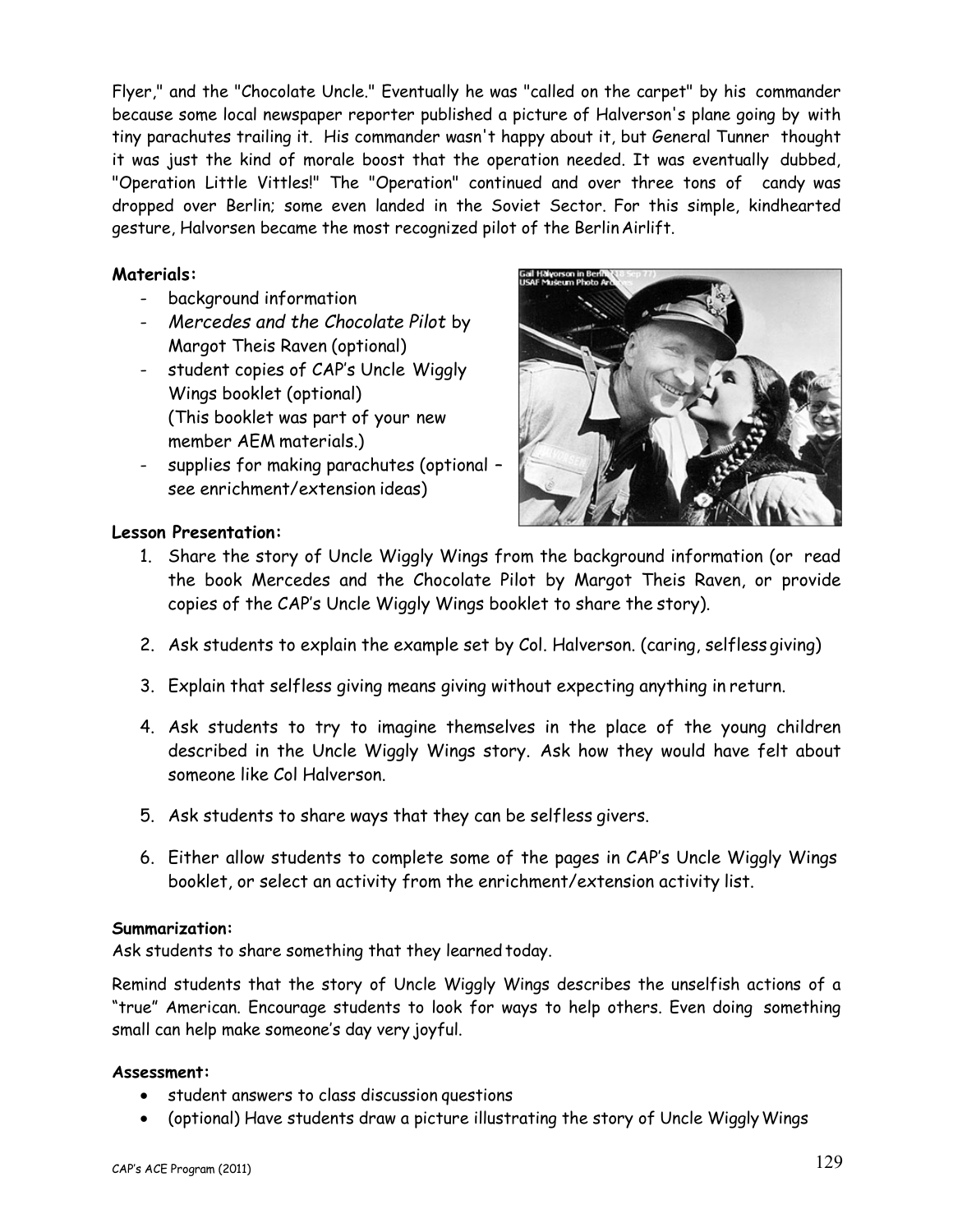Flyer," and the "Chocolate Uncle." Eventually he was "called on the carpet" by his commander because some local newspaper reporter published a picture of Halverson's plane going by with tiny parachutes trailing it. His commander wasn't happy about it, but General Tunner thought it was just the kind of morale boost that the operation needed. It was eventually dubbed, "Operation Little Vittles!" The "Operation" continued and over three tons of candy was dropped over Berlin; some even landed in the Soviet Sector. For this simple, kindhearted gesture, Halvorsen became the most recognized pilot of the BerlinAirlift.

#### **Materials:**

- background information
- *Mercedes and the Chocolate Pilot* by Margot Theis Raven (optional)
- student copies of CAP's Uncle Wiggly Wings booklet (optional) (This booklet was part of your new member AEM materials.)
- supplies for making parachutes (optional see enrichment/extension ideas)



#### **Lesson Presentation:**

- 1. Share the story of Uncle Wiggly Wings from the background information (or read the book Mercedes and the Chocolate Pilot by Margot Theis Raven, or provide copies of the CAP's Uncle Wiggly Wings booklet to share the story).
- 2. Ask students to explain the example set by Col. Halverson. (caring, selfless giving)
- 3. Explain that selfless giving means giving without expecting anything in return.
- 4. Ask students to try to imagine themselves in the place of the young children described in the Uncle Wiggly Wings story. Ask how they would have felt about someone like Col Halverson.
- 5. Ask students to share ways that they can be selfless givers.
- 6. Either allow students to complete some of the pages in CAP's Uncle Wiggly Wings booklet, or select an activity from the enrichment/extension activity list.

#### **Summarization:**

Ask students to share something that they learned today.

Remind students that the story of Uncle Wiggly Wings describes the unselfish actions of a "true" American. Encourage students to look for ways to help others. Even doing something small can help make someone's day very joyful.

#### **Assessment:**

- student answers to class discussion questions
- (optional) Have students draw a picture illustrating the story of Uncle Wiggly Wings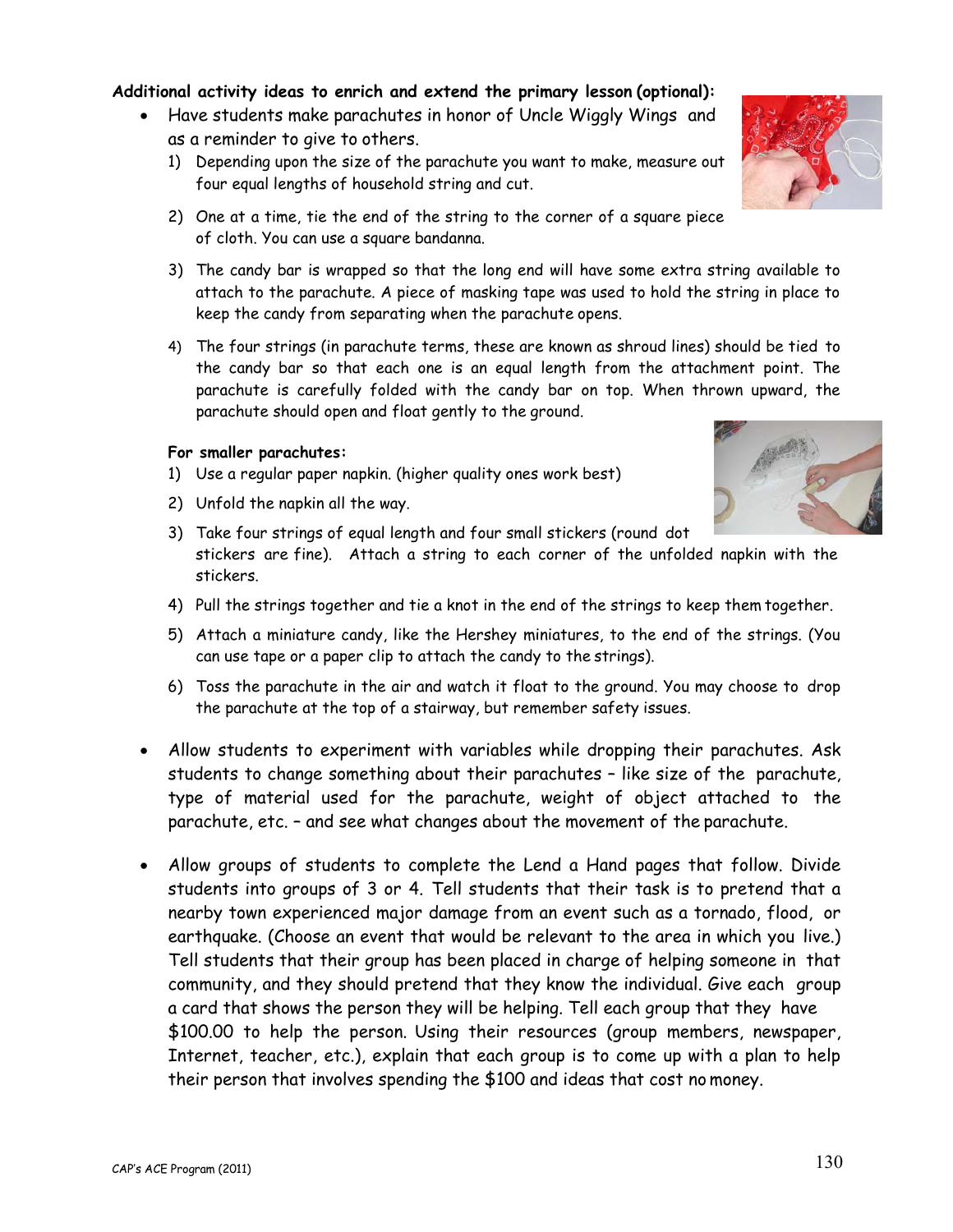#### **Additional activity ideas to enrich and extend the primary lesson (optional):**

- Have students make parachutes in honor of Uncle Wiggly Wings and as a reminder to give to others.
	- 1) Depending upon the size of the parachute you want to make, measure out four equal lengths of household string and cut.
	- 2) One at a time, tie the end of the string to the corner of a square piece of cloth. You can use a square bandanna.
	- 3) The candy bar is wrapped so that the long end will have some extra string available to attach to the parachute. A piece of masking tape was used to hold the string in place to keep the candy from separating when the parachute opens.
	- 4) The four strings (in parachute terms, these are known as shroud lines) should be tied to the candy bar so that each one is an equal length from the attachment point. The parachute is carefully folded with the candy bar on top. When thrown upward, the parachute should open and float gently to the ground.

#### **For smaller parachutes:**

- 1) Use a regular paper napkin. (higher quality ones work best)
- 2) Unfold the napkin all the way.
- 3) Take four strings of equal length and four small stickers (round dot stickers are fine). Attach a string to each corner of the unfolded napkin with the stickers.
- 4) Pull the strings together and tie a knot in the end of the strings to keep them together.
- 5) Attach a miniature candy, like the Hershey miniatures, to the end of the strings. (You can use tape or a paper clip to attach the candy to the strings).
- 6) Toss the parachute in the air and watch it float to the ground. You may choose to drop the parachute at the top of a stairway, but remember safety issues.
- Allow students to experiment with variables while dropping their parachutes. Ask students to change something about their parachutes – like size of the parachute, type of material used for the parachute, weight of object attached to the parachute, etc. – and see what changes about the movement of the parachute.
- Allow groups of students to complete the Lend a Hand pages that follow. Divide students into groups of 3 or 4. Tell students that their task is to pretend that a nearby town experienced major damage from an event such as a tornado, flood, or earthquake. (Choose an event that would be relevant to the area in which you live.) Tell students that their group has been placed in charge of helping someone in that community, and they should pretend that they know the individual. Give each group a card that shows the person they will be helping. Tell each group that they have \$100.00 to help the person. Using their resources (group members, newspaper, Internet, teacher, etc.), explain that each group is to come up with a plan to help their person that involves spending the \$100 and ideas that cost no money.



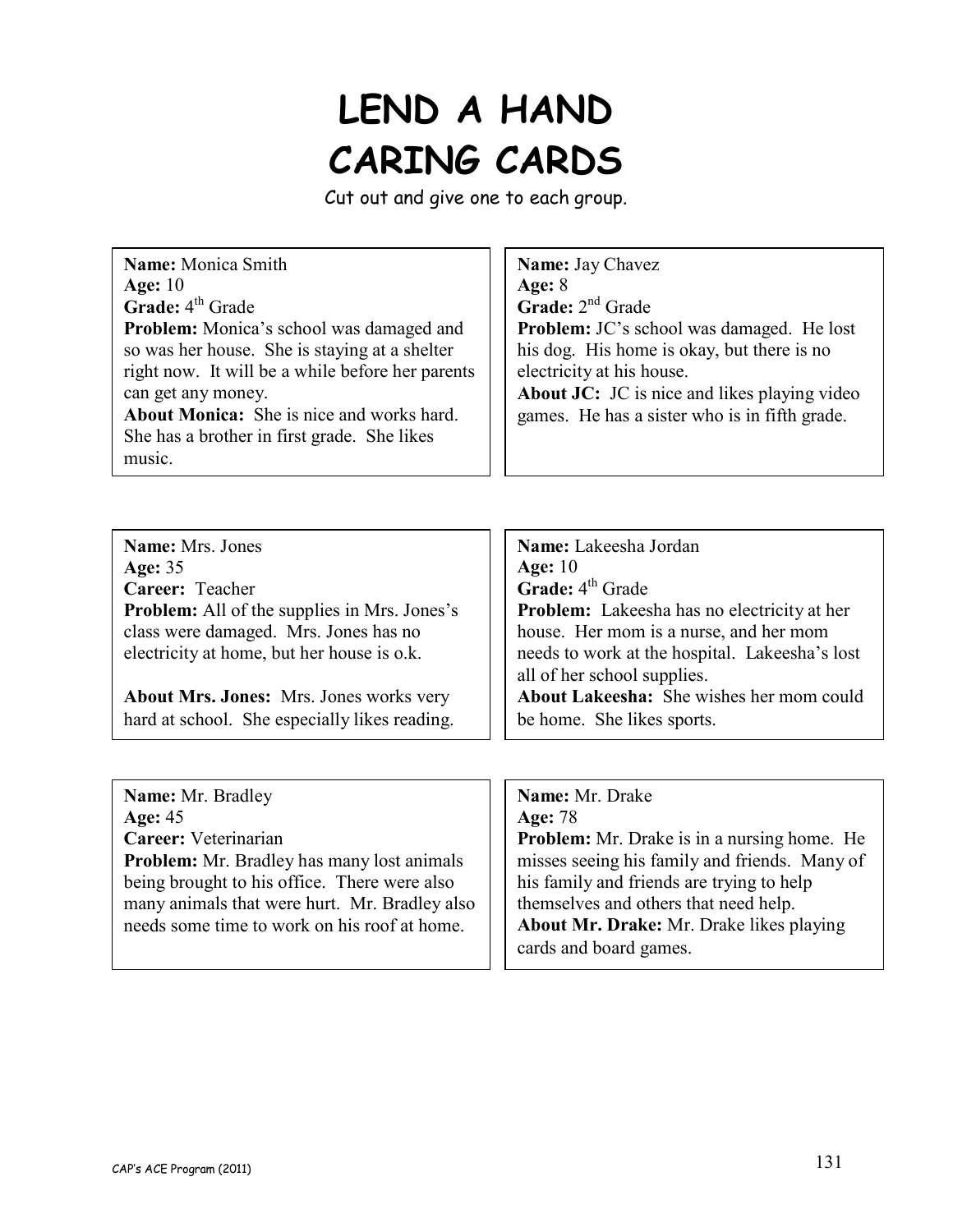# **LEND A HAND CARING CARDS**

Cut out and give one to each group.

| Name: Mrs. Jones                                    | Name: Lakeesha Jordan                                                         |
|-----------------------------------------------------|-------------------------------------------------------------------------------|
| <b>Age: 35</b>                                      | Age: $10$                                                                     |
| Career: Teacher                                     | <b>Grade:</b> $4^{th}$ Grade                                                  |
| <b>Problem:</b> All of the supplies in Mrs. Jones's | <b>Problem:</b> Lakeesha has no electricity at her                            |
| class were damaged. Mrs. Jones has no               | house. Her mom is a nurse, and her mom                                        |
| electricity at home, but her house is o.k.          | needs to work at the hospital. Lakeesha's lost<br>all of her school supplies. |
| <b>About Mrs. Jones:</b> Mrs. Jones works very      | <b>About Lakeesha:</b> She wishes her mom could                               |
| hard at school. She especially likes reading.       | be home. She likes sports.                                                    |
|                                                     |                                                                               |
|                                                     |                                                                               |

| Name: Mr. Bradley                                 | Name: Mr. Drake                                    |
|---------------------------------------------------|----------------------------------------------------|
| Age: $45$                                         | Age: 78                                            |
| Career: Veterinarian                              | <b>Problem:</b> Mr. Drake is in a nursing home. He |
| <b>Problem:</b> Mr. Bradley has many lost animals | misses seeing his family and friends. Many of      |
| being brought to his office. There were also      | his family and friends are trying to help          |
| many animals that were hurt. Mr. Bradley also     | themselves and others that need help.              |
| needs some time to work on his roof at home.      | About Mr. Drake: Mr. Drake likes playing           |
|                                                   | cards and board games.                             |
|                                                   |                                                    |